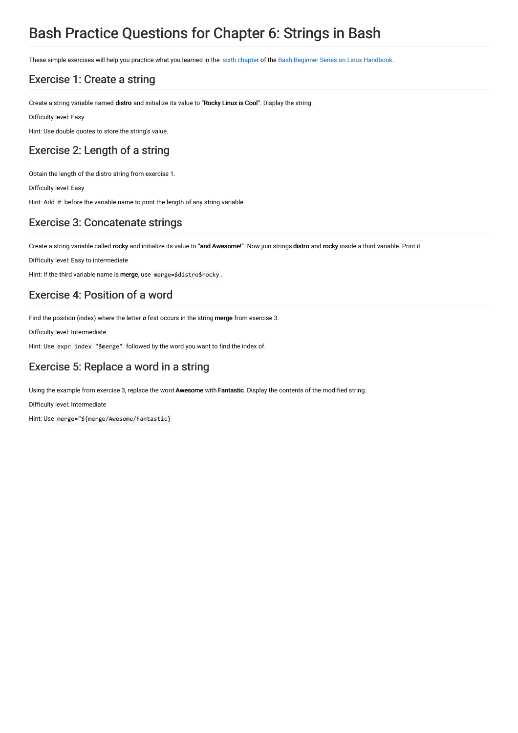# Bash Practice Questions for Chapter 6: Strings in Bash

These simple exercises will help you practice what you learned in the sixth [chapter](https://linuxhandbook.com/bash-strings/) of the Bash Beginner Series on Linux [Handbook](https://linuxhandbook.com/tag/bash-beginner/).

# Exercise 1: Create a string

Create a string variable named distro and initialize its value to "Rocky Linux is Cool". Display the string.

Difficulty level: Easy

Hint: Use double quotes to store the string's value.

# Exercise 2: Length of a string

Obtain the length of the distro string from exercise 1.

Difficulty level: Easy

Hint: Add # before the variable name to print the length of any string variable.

# Exercise 3: Concatenate strings

Create a string variable called rocky and initialize its value to "and Awesome!". Now join strings distro and rocky inside a third variable. Print it.

Difficulty level: Easy to intermediate

Hint: If the third variable name is merge, use merge=\$distro\$rocky.

# Exercise 4: Position of a word

Find the position (index) where the letter  $o$  first occurs in the string merge from exercise 3.

Difficulty level: Intermediate

Hint: Use expr index "\$merge" followed by the word you want to find the index of.

# Exercise 5: Replace a word in a string

Using the example from exercise 3, replace the word Awesome with Fantastic. Display the contents of the modified string.

Difficulty level: Intermediate

Hint: Use merge="\${merge/Awesome/Fantastic}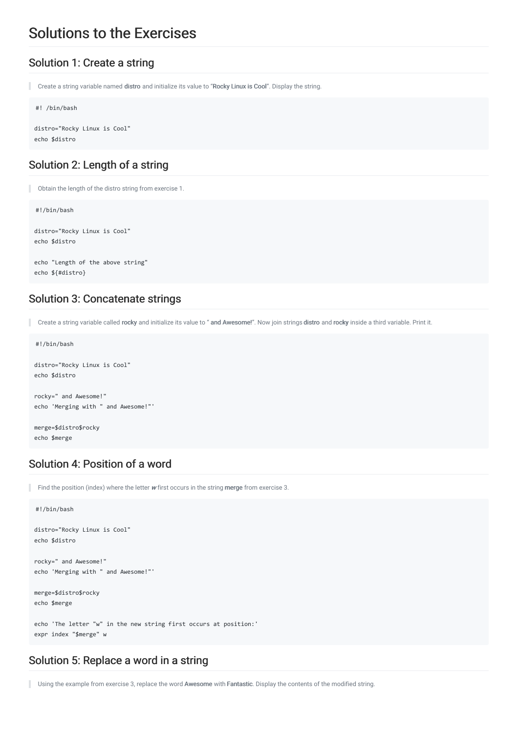# Solutions to the Exercises

#### Solution 1: Create a string

Create a string variable named distro and initialize its value to "Rocky Linux is Cool". Display the string.

```
#! /bin/bash
```
distro="Rocky Linux is Cool" echo \$distro

#### Solution 2: Length of a string

Obtain the length of the distro string from exercise 1.

#!/bin/bash

```
distro="Rocky Linux is Cool"
echo $distro
```
echo "Length of the above string" echo \${#distro}

#### Solution 3: Concatenate strings

Create a string variable called rocky and initialize its value to " and Awesome!". Now join strings distro and rocky inside a third variable. Print it.

```
#!/bin/bash
```

```
distro="Rocky Linux is Cool"
echo $distro
rocky=" and Awesome!"
echo 'Merging with " and Awesome!"'
merge=$distro$rocky
```
echo \$merge

# Solution 4: Position of a word

Find the position (index) where the letter  $w$  first occurs in the string merge from exercise 3.

```
#!/bin/bash
distro="Rocky Linux is Cool"
echo $distro
rocky=" and Awesome!"
echo 'Merging with " and Awesome!"'
merge=$distro$rocky
echo $merge
echo 'The letter "w" in the new string first occurs at position:'
expr index "$merge" w
```
### Solution 5: Replace a word in a string

Using the example from exercise 3, replace the word Awesome with Fantastic. Display the contents of the modified string.ı